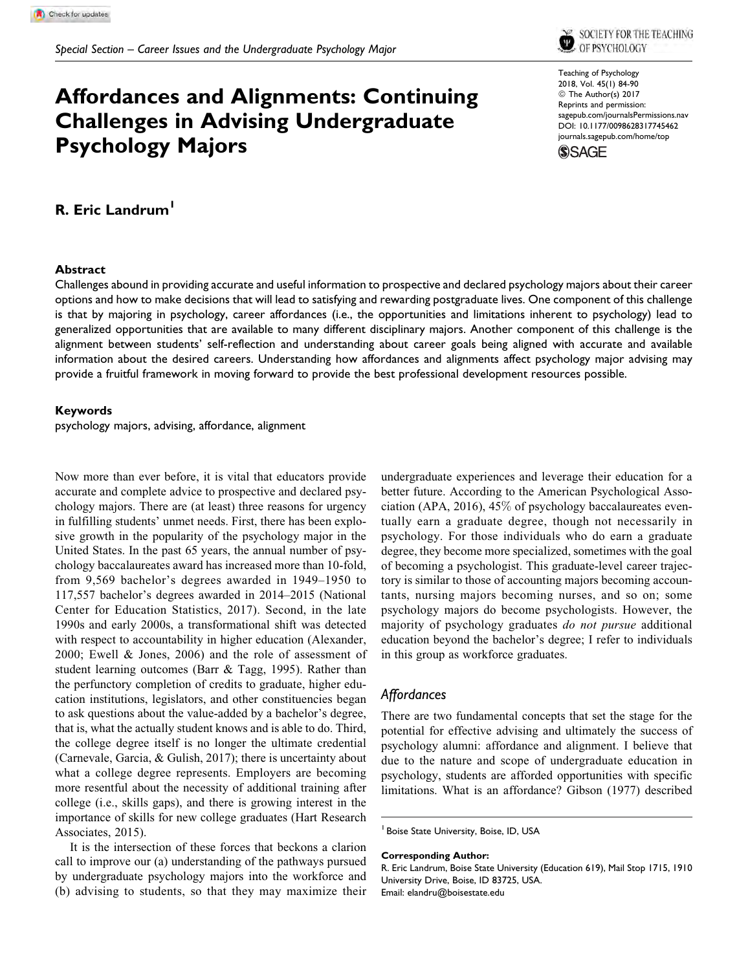# Affordances and Alignments: Continuing Challenges in Advising Undergraduate Psychology Majors

Teaching of Psychology 2018, Vol. 45(1) 84-90 © The Author(s) 2017 Reprints and permission: [sagepub.com/journalsPermissions.nav](https://us.sagepub.com/en-us/journals-permissions) [DOI: 10.1177/0098628317745462](https://doi.org/10.1177/0098628317745462) [journals.sagepub.com/home/top](http://journals.sagepub.com/home/top)



## R. Eric Landrum<sup>1</sup>

#### Abstract

Challenges abound in providing accurate and useful information to prospective and declared psychology majors about their career options and how to make decisions that will lead to satisfying and rewarding postgraduate lives. One component of this challenge is that by majoring in psychology, career affordances (i.e., the opportunities and limitations inherent to psychology) lead to generalized opportunities that are available to many different disciplinary majors. Another component of this challenge is the alignment between students' self-reflection and understanding about career goals being aligned with accurate and available information about the desired careers. Understanding how affordances and alignments affect psychology major advising may provide a fruitful framework in moving forward to provide the best professional development resources possible.

#### Keywords

psychology majors, advising, affordance, alignment

Now more than ever before, it is vital that educators provide accurate and complete advice to prospective and declared psychology majors. There are (at least) three reasons for urgency in fulfilling students' unmet needs. First, there has been explosive growth in the popularity of the psychology major in the United States. In the past 65 years, the annual number of psychology baccalaureates award has increased more than 10-fold, from 9,569 bachelor's degrees awarded in 1949–1950 to 117,557 bachelor's degrees awarded in 2014–2015 (National Center for Education Statistics, 2017). Second, in the late 1990s and early 2000s, a transformational shift was detected with respect to accountability in higher education (Alexander, 2000; Ewell & Jones, 2006) and the role of assessment of student learning outcomes (Barr & Tagg, 1995). Rather than the perfunctory completion of credits to graduate, higher education institutions, legislators, and other constituencies began to ask questions about the value-added by a bachelor's degree, that is, what the actually student knows and is able to do. Third, the college degree itself is no longer the ultimate credential (Carnevale, Garcia, & Gulish, 2017); there is uncertainty about what a college degree represents. Employers are becoming more resentful about the necessity of additional training after college (i.e., skills gaps), and there is growing interest in the importance of skills for new college graduates (Hart Research Associates, 2015).

It is the intersection of these forces that beckons a clarion call to improve our (a) understanding of the pathways pursued by undergraduate psychology majors into the workforce and (b) advising to students, so that they may maximize their undergraduate experiences and leverage their education for a better future. According to the American Psychological Association (APA, 2016), 45% of psychology baccalaureates eventually earn a graduate degree, though not necessarily in psychology. For those individuals who do earn a graduate degree, they become more specialized, sometimes with the goal of becoming a psychologist. This graduate-level career trajectory is similar to those of accounting majors becoming accountants, nursing majors becoming nurses, and so on; some psychology majors do become psychologists. However, the majority of psychology graduates do not pursue additional education beyond the bachelor's degree; I refer to individuals in this group as workforce graduates.

## **Affordances**

There are two fundamental concepts that set the stage for the potential for effective advising and ultimately the success of psychology alumni: affordance and alignment. I believe that due to the nature and scope of undergraduate education in psychology, students are afforded opportunities with specific limitations. What is an affordance? Gibson (1977) described

#### Corresponding Author:

R. Eric Landrum, Boise State University (Education 619), Mail Stop 1715, 1910 University Drive, Boise, ID 83725, USA. Email: elandru@boisestate.edu

<sup>&</sup>lt;sup>1</sup> Boise State University, Boise, ID, USA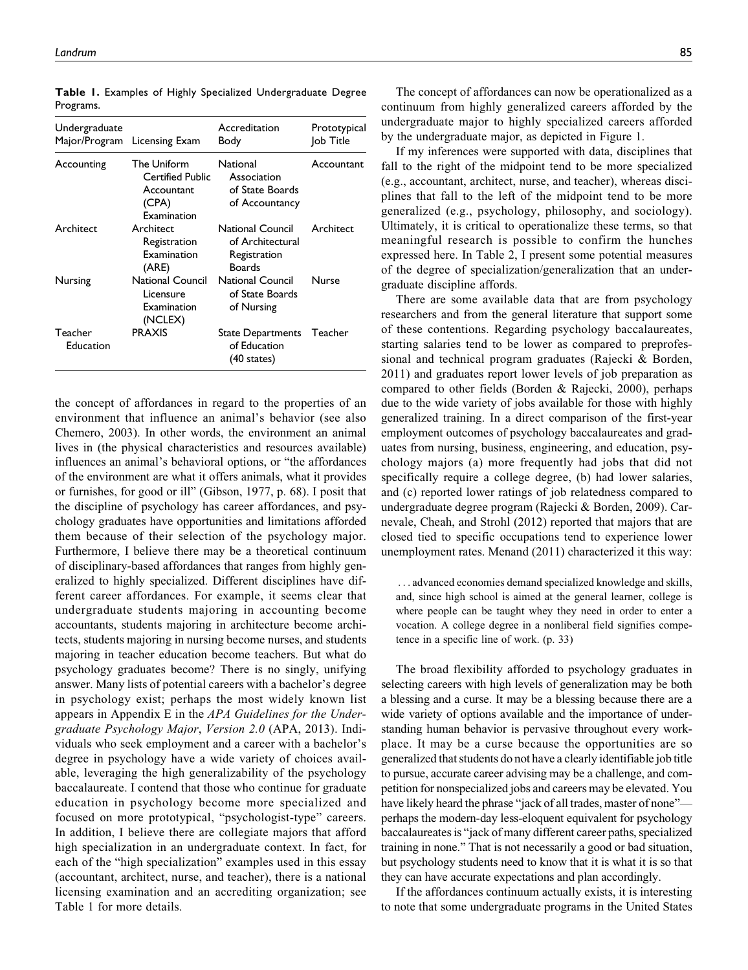| Undergraduate<br>Major/Program | Licensing Exam                                                               | Accreditation<br>Body                                                        | Prototypical<br>Job Title |
|--------------------------------|------------------------------------------------------------------------------|------------------------------------------------------------------------------|---------------------------|
| Accounting                     | The Uniform<br><b>Certified Public</b><br>Accountant<br>(CPA)<br>Examination | National<br>Association<br>of State Boards<br>of Accountancy                 | Accountant                |
| Architect                      | Architect<br>Registration<br>Examination<br>(ARE)                            | <b>National Council</b><br>of Architectural<br>Registration<br><b>Boards</b> | Architect                 |
| Nursing                        | National Council<br>Licensure<br>Examination<br>(NCLEX)                      | <b>National Council</b><br>of State Boards<br>of Nursing                     | <b>Nurse</b>              |
| Teacher<br>Education           | <b>PRAXIS</b>                                                                | State Departments<br>of Education<br>(40 states)                             | Teacher                   |

Table 1. Examples of Highly Specialized Undergraduate Degree Programs.

the concept of affordances in regard to the properties of an environment that influence an animal's behavior (see also Chemero, 2003). In other words, the environment an animal lives in (the physical characteristics and resources available) influences an animal's behavioral options, or "the affordances of the environment are what it offers animals, what it provides or furnishes, for good or ill" (Gibson, 1977, p. 68). I posit that the discipline of psychology has career affordances, and psychology graduates have opportunities and limitations afforded them because of their selection of the psychology major. Furthermore, I believe there may be a theoretical continuum of disciplinary-based affordances that ranges from highly generalized to highly specialized. Different disciplines have different career affordances. For example, it seems clear that undergraduate students majoring in accounting become accountants, students majoring in architecture become architects, students majoring in nursing become nurses, and students majoring in teacher education become teachers. But what do psychology graduates become? There is no singly, unifying answer. Many lists of potential careers with a bachelor's degree in psychology exist; perhaps the most widely known list appears in Appendix E in the APA Guidelines for the Undergraduate Psychology Major, Version 2.0 (APA, 2013). Individuals who seek employment and a career with a bachelor's degree in psychology have a wide variety of choices available, leveraging the high generalizability of the psychology baccalaureate. I contend that those who continue for graduate education in psychology become more specialized and focused on more prototypical, "psychologist-type" careers. In addition, I believe there are collegiate majors that afford high specialization in an undergraduate context. In fact, for each of the "high specialization" examples used in this essay (accountant, architect, nurse, and teacher), there is a national licensing examination and an accrediting organization; see Table 1 for more details.

The concept of affordances can now be operationalized as a continuum from highly generalized careers afforded by the undergraduate major to highly specialized careers afforded by the undergraduate major, as depicted in Figure 1.

If my inferences were supported with data, disciplines that fall to the right of the midpoint tend to be more specialized (e.g., accountant, architect, nurse, and teacher), whereas disciplines that fall to the left of the midpoint tend to be more generalized (e.g., psychology, philosophy, and sociology). Ultimately, it is critical to operationalize these terms, so that meaningful research is possible to confirm the hunches expressed here. In Table 2, I present some potential measures of the degree of specialization/generalization that an undergraduate discipline affords.

There are some available data that are from psychology researchers and from the general literature that support some of these contentions. Regarding psychology baccalaureates, starting salaries tend to be lower as compared to preprofessional and technical program graduates (Rajecki & Borden, 2011) and graduates report lower levels of job preparation as compared to other fields (Borden & Rajecki, 2000), perhaps due to the wide variety of jobs available for those with highly generalized training. In a direct comparison of the first-year employment outcomes of psychology baccalaureates and graduates from nursing, business, engineering, and education, psychology majors (a) more frequently had jobs that did not specifically require a college degree, (b) had lower salaries, and (c) reported lower ratings of job relatedness compared to undergraduate degree program (Rajecki & Borden, 2009). Carnevale, Cheah, and Strohl (2012) reported that majors that are closed tied to specific occupations tend to experience lower unemployment rates. Menand (2011) characterized it this way:

... advanced economies demand specialized knowledge and skills, and, since high school is aimed at the general learner, college is where people can be taught whey they need in order to enter a vocation. A college degree in a nonliberal field signifies competence in a specific line of work. (p. 33)

The broad flexibility afforded to psychology graduates in selecting careers with high levels of generalization may be both a blessing and a curse. It may be a blessing because there are a wide variety of options available and the importance of understanding human behavior is pervasive throughout every workplace. It may be a curse because the opportunities are so generalized that students do not have a clearly identifiable job title to pursue, accurate career advising may be a challenge, and competition for nonspecialized jobs and careers may be elevated. You have likely heard the phrase "jack of all trades, master of none"perhaps the modern-day less-eloquent equivalent for psychology baccalaureates is "jack of many different career paths, specialized training in none." That is not necessarily a good or bad situation, but psychology students need to know that it is what it is so that they can have accurate expectations and plan accordingly.

If the affordances continuum actually exists, it is interesting to note that some undergraduate programs in the United States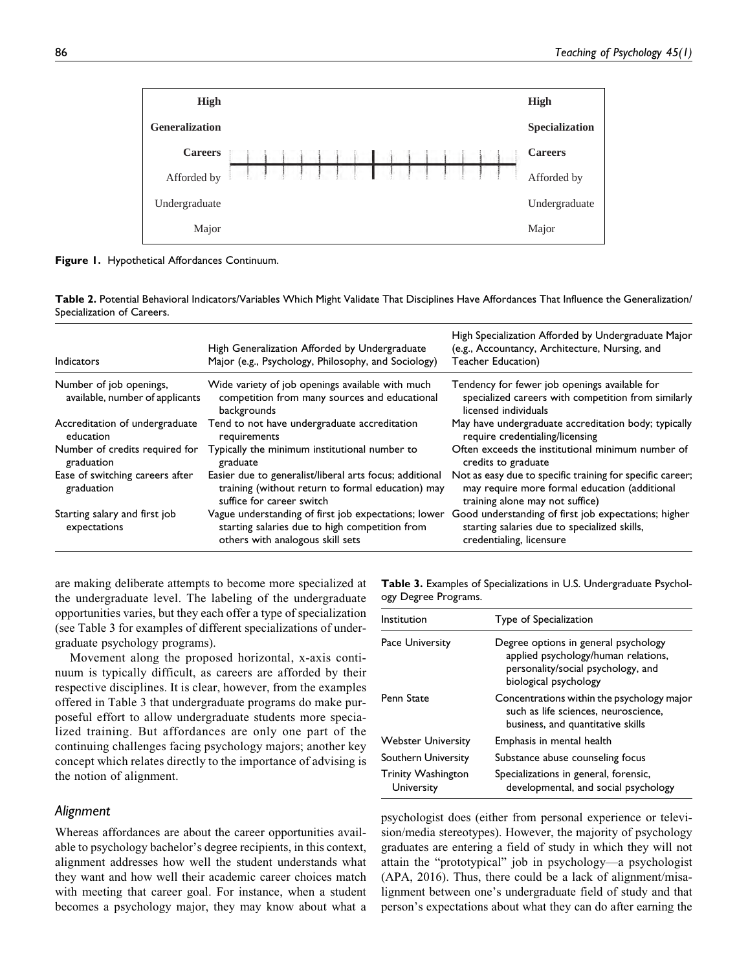

Figure 1. Hypothetical Affordances Continuum.

| Table 2. Potential Behavioral Indicators/Variables Which Might Validate That Disciplines Have Affordances That Influence the Generalization/ |  |  |  |
|----------------------------------------------------------------------------------------------------------------------------------------------|--|--|--|
| Specialization of Careers.                                                                                                                   |  |  |  |

| Indicators                                                 | High Generalization Afforded by Undergraduate<br>Major (e.g., Psychology, Philosophy, and Sociology)                                       | High Specialization Afforded by Undergraduate Major<br>(e.g., Accountancy, Architecture, Nursing, and<br>Teacher Education)                   |
|------------------------------------------------------------|--------------------------------------------------------------------------------------------------------------------------------------------|-----------------------------------------------------------------------------------------------------------------------------------------------|
| Number of job openings,<br>available, number of applicants | Wide variety of job openings available with much<br>competition from many sources and educational<br>backgrounds                           | Tendency for fewer job openings available for<br>specialized careers with competition from similarly<br>licensed individuals                  |
| Accreditation of undergraduate<br>education                | Tend to not have undergraduate accreditation<br>requirements                                                                               | May have undergraduate accreditation body; typically<br>require credentialing/licensing                                                       |
| Number of credits required for<br>graduation               | Typically the minimum institutional number to<br>graduate                                                                                  | Often exceeds the institutional minimum number of<br>credits to graduate                                                                      |
| Ease of switching careers after<br>graduation              | Easier due to generalist/liberal arts focus; additional<br>training (without return to formal education) may<br>suffice for career switch  | Not as easy due to specific training for specific career;<br>may require more formal education (additional<br>training alone may not suffice) |
| Starting salary and first job<br>expectations              | Vague understanding of first job expectations; lower<br>starting salaries due to high competition from<br>others with analogous skill sets | Good understanding of first job expectations; higher<br>starting salaries due to specialized skills,<br>credentialing, licensure              |

are making deliberate attempts to become more specialized at the undergraduate level. The labeling of the undergraduate opportunities varies, but they each offer a type of specialization (see Table 3 for examples of different specializations of undergraduate psychology programs).

Movement along the proposed horizontal, x-axis continuum is typically difficult, as careers are afforded by their respective disciplines. It is clear, however, from the examples offered in Table 3 that undergraduate programs do make purposeful effort to allow undergraduate students more specialized training. But affordances are only one part of the continuing challenges facing psychology majors; another key concept which relates directly to the importance of advising is the notion of alignment.

## Alignment

Whereas affordances are about the career opportunities available to psychology bachelor's degree recipients, in this context, alignment addresses how well the student understands what they want and how well their academic career choices match with meeting that career goal. For instance, when a student becomes a psychology major, they may know about what a

Table 3. Examples of Specializations in U.S. Undergraduate Psychology Degree Programs.

| Institution                             | Type of Specialization                                                                                                                     |  |
|-----------------------------------------|--------------------------------------------------------------------------------------------------------------------------------------------|--|
| Pace University                         | Degree options in general psychology<br>applied psychology/human relations,<br>personality/social psychology, and<br>biological psychology |  |
| Penn State                              | Concentrations within the psychology major<br>such as life sciences, neuroscience,<br>business, and quantitative skills                    |  |
| <b>Webster University</b>               | Emphasis in mental health                                                                                                                  |  |
| Southern University                     | Substance abuse counseling focus                                                                                                           |  |
| <b>Trinity Washington</b><br>University | Specializations in general, forensic,<br>developmental, and social psychology                                                              |  |

psychologist does (either from personal experience or television/media stereotypes). However, the majority of psychology graduates are entering a field of study in which they will not attain the "prototypical" job in psychology—a psychologist (APA, 2016). Thus, there could be a lack of alignment/misalignment between one's undergraduate field of study and that person's expectations about what they can do after earning the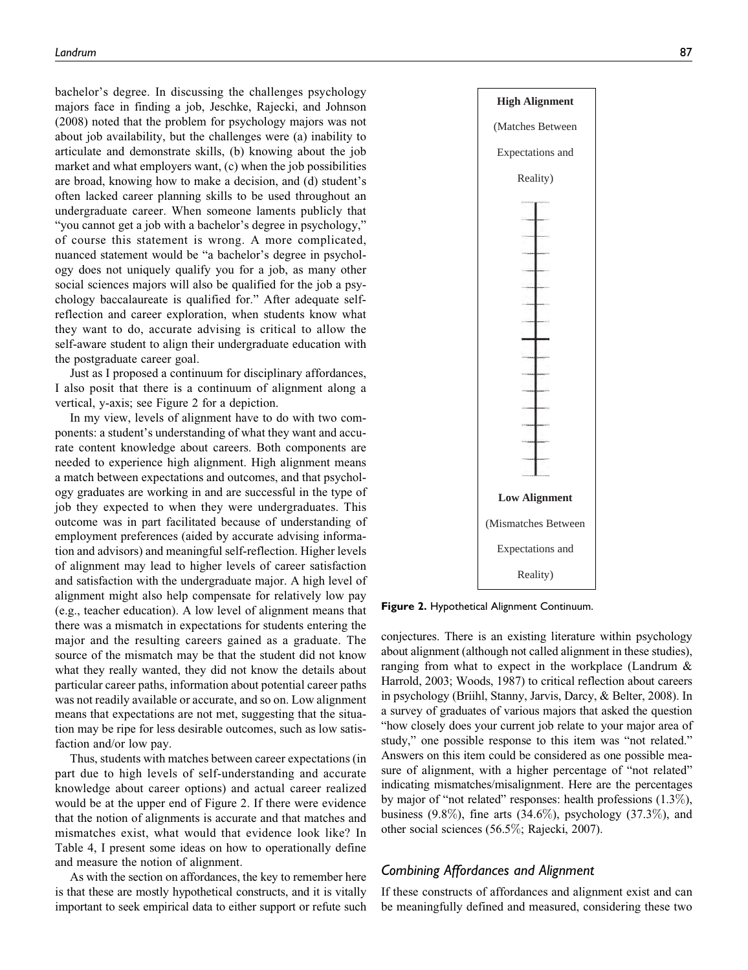bachelor's degree. In discussing the challenges psychology majors face in finding a job, Jeschke, Rajecki, and Johnson (2008) noted that the problem for psychology majors was not about job availability, but the challenges were (a) inability to articulate and demonstrate skills, (b) knowing about the job market and what employers want, (c) when the job possibilities are broad, knowing how to make a decision, and (d) student's often lacked career planning skills to be used throughout an undergraduate career. When someone laments publicly that "you cannot get a job with a bachelor's degree in psychology," of course this statement is wrong. A more complicated, nuanced statement would be "a bachelor's degree in psychology does not uniquely qualify you for a job, as many other social sciences majors will also be qualified for the job a psychology baccalaureate is qualified for." After adequate selfreflection and career exploration, when students know what they want to do, accurate advising is critical to allow the self-aware student to align their undergraduate education with the postgraduate career goal.

Just as I proposed a continuum for disciplinary affordances, I also posit that there is a continuum of alignment along a vertical, y-axis; see Figure 2 for a depiction.

In my view, levels of alignment have to do with two components: a student's understanding of what they want and accurate content knowledge about careers. Both components are needed to experience high alignment. High alignment means a match between expectations and outcomes, and that psychology graduates are working in and are successful in the type of job they expected to when they were undergraduates. This outcome was in part facilitated because of understanding of employment preferences (aided by accurate advising information and advisors) and meaningful self-reflection. Higher levels of alignment may lead to higher levels of career satisfaction and satisfaction with the undergraduate major. A high level of alignment might also help compensate for relatively low pay (e.g., teacher education). A low level of alignment means that there was a mismatch in expectations for students entering the major and the resulting careers gained as a graduate. The source of the mismatch may be that the student did not know what they really wanted, they did not know the details about particular career paths, information about potential career paths was not readily available or accurate, and so on. Low alignment means that expectations are not met, suggesting that the situation may be ripe for less desirable outcomes, such as low satisfaction and/or low pay.

Thus, students with matches between career expectations (in part due to high levels of self-understanding and accurate knowledge about career options) and actual career realized would be at the upper end of Figure 2. If there were evidence that the notion of alignments is accurate and that matches and mismatches exist, what would that evidence look like? In Table 4, I present some ideas on how to operationally define and measure the notion of alignment.

As with the section on affordances, the key to remember here is that these are mostly hypothetical constructs, and it is vitally important to seek empirical data to either support or refute such



Figure 2. Hypothetical Alignment Continuum.

conjectures. There is an existing literature within psychology about alignment (although not called alignment in these studies), ranging from what to expect in the workplace (Landrum & Harrold, 2003; Woods, 1987) to critical reflection about careers in psychology (Briihl, Stanny, Jarvis, Darcy, & Belter, 2008). In a survey of graduates of various majors that asked the question "how closely does your current job relate to your major area of study," one possible response to this item was "not related." Answers on this item could be considered as one possible measure of alignment, with a higher percentage of "not related" indicating mismatches/misalignment. Here are the percentages by major of "not related" responses: health professions (1.3%), business (9.8%), fine arts (34.6%), psychology (37.3%), and other social sciences (56.5%; Rajecki, 2007).

## Combining Affordances and Alignment

If these constructs of affordances and alignment exist and can be meaningfully defined and measured, considering these two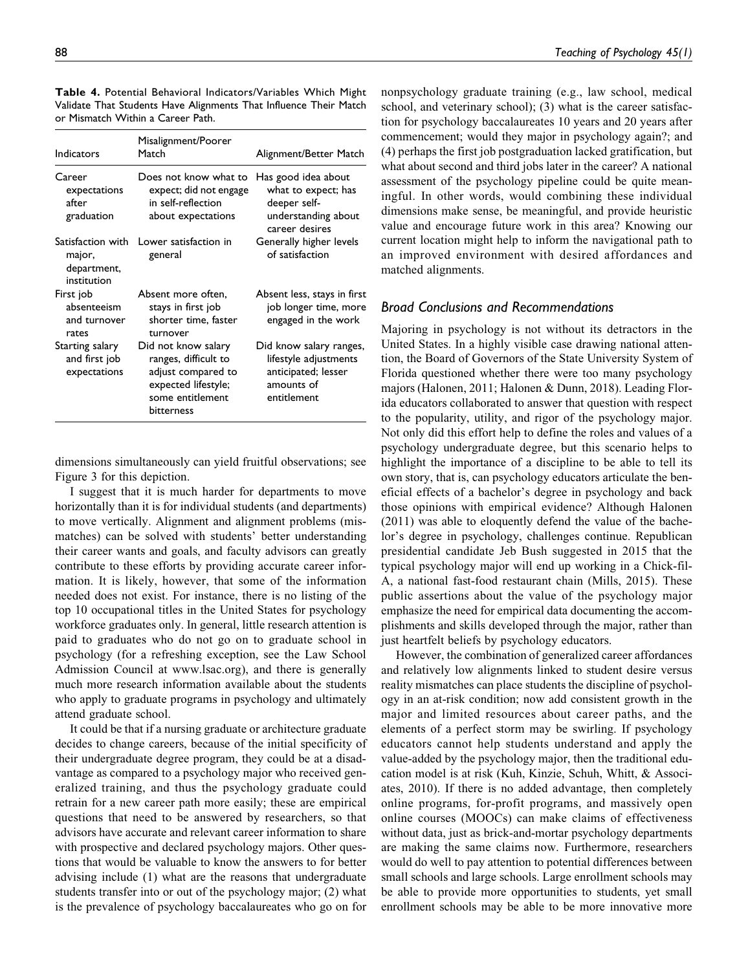Table 4. Potential Behavioral Indicators/Variables Which Might Validate That Students Have Alignments That Influence Their Match or Mismatch Within a Career Path.

| Indicators                                                | Misalignment/Poorer<br>Match                                                                                               | Alignment/Better Match                                                                               |
|-----------------------------------------------------------|----------------------------------------------------------------------------------------------------------------------------|------------------------------------------------------------------------------------------------------|
| Career<br>expectations<br>after<br>graduation             | Does not know what to<br>expect; did not engage<br>in self-reflection<br>about expectations                                | Has good idea about<br>what to expect; has<br>deeper self-<br>understanding about<br>career desires  |
| Satisfaction with<br>major,<br>department,<br>institution | Lower satisfaction in<br>general                                                                                           | Generally higher levels<br>of satisfaction                                                           |
| First job<br>absenteeism<br>and turnover<br>rates         | Absent more often,<br>stays in first job<br>shorter time, faster<br>turnover                                               | Absent less, stays in first<br>job longer time, more<br>engaged in the work                          |
| Starting salary<br>and first job<br>expectations          | Did not know salary<br>ranges, difficult to<br>adjust compared to<br>expected lifestyle;<br>some entitlement<br>bitterness | Did know salary ranges,<br>lifestyle adjustments<br>anticipated; lesser<br>amounts of<br>entitlement |

dimensions simultaneously can yield fruitful observations; see Figure 3 for this depiction.

I suggest that it is much harder for departments to move horizontally than it is for individual students (and departments) to move vertically. Alignment and alignment problems (mismatches) can be solved with students' better understanding their career wants and goals, and faculty advisors can greatly contribute to these efforts by providing accurate career information. It is likely, however, that some of the information needed does not exist. For instance, there is no listing of the top 10 occupational titles in the United States for psychology workforce graduates only. In general, little research attention is paid to graduates who do not go on to graduate school in psychology (for a refreshing exception, see the Law School Admission Council at [www.lsac.org\)](http://www.lsac.org), and there is generally much more research information available about the students who apply to graduate programs in psychology and ultimately attend graduate school.

It could be that if a nursing graduate or architecture graduate decides to change careers, because of the initial specificity of their undergraduate degree program, they could be at a disadvantage as compared to a psychology major who received generalized training, and thus the psychology graduate could retrain for a new career path more easily; these are empirical questions that need to be answered by researchers, so that advisors have accurate and relevant career information to share with prospective and declared psychology majors. Other questions that would be valuable to know the answers to for better advising include (1) what are the reasons that undergraduate students transfer into or out of the psychology major; (2) what is the prevalence of psychology baccalaureates who go on for

nonpsychology graduate training (e.g., law school, medical school, and veterinary school); (3) what is the career satisfaction for psychology baccalaureates 10 years and 20 years after commencement; would they major in psychology again?; and (4) perhaps the first job postgraduation lacked gratification, but what about second and third jobs later in the career? A national assessment of the psychology pipeline could be quite meaningful. In other words, would combining these individual dimensions make sense, be meaningful, and provide heuristic value and encourage future work in this area? Knowing our current location might help to inform the navigational path to an improved environment with desired affordances and matched alignments.

## Broad Conclusions and Recommendations

Majoring in psychology is not without its detractors in the United States. In a highly visible case drawing national attention, the Board of Governors of the State University System of Florida questioned whether there were too many psychology majors (Halonen, 2011; Halonen & Dunn, 2018). Leading Florida educators collaborated to answer that question with respect to the popularity, utility, and rigor of the psychology major. Not only did this effort help to define the roles and values of a psychology undergraduate degree, but this scenario helps to highlight the importance of a discipline to be able to tell its own story, that is, can psychology educators articulate the beneficial effects of a bachelor's degree in psychology and back those opinions with empirical evidence? Although Halonen (2011) was able to eloquently defend the value of the bachelor's degree in psychology, challenges continue. Republican presidential candidate Jeb Bush suggested in 2015 that the typical psychology major will end up working in a Chick-fil-A, a national fast-food restaurant chain (Mills, 2015). These public assertions about the value of the psychology major emphasize the need for empirical data documenting the accomplishments and skills developed through the major, rather than just heartfelt beliefs by psychology educators.

However, the combination of generalized career affordances and relatively low alignments linked to student desire versus reality mismatches can place students the discipline of psychology in an at-risk condition; now add consistent growth in the major and limited resources about career paths, and the elements of a perfect storm may be swirling. If psychology educators cannot help students understand and apply the value-added by the psychology major, then the traditional education model is at risk (Kuh, Kinzie, Schuh, Whitt, & Associates, 2010). If there is no added advantage, then completely online programs, for-profit programs, and massively open online courses (MOOCs) can make claims of effectiveness without data, just as brick-and-mortar psychology departments are making the same claims now. Furthermore, researchers would do well to pay attention to potential differences between small schools and large schools. Large enrollment schools may be able to provide more opportunities to students, yet small enrollment schools may be able to be more innovative more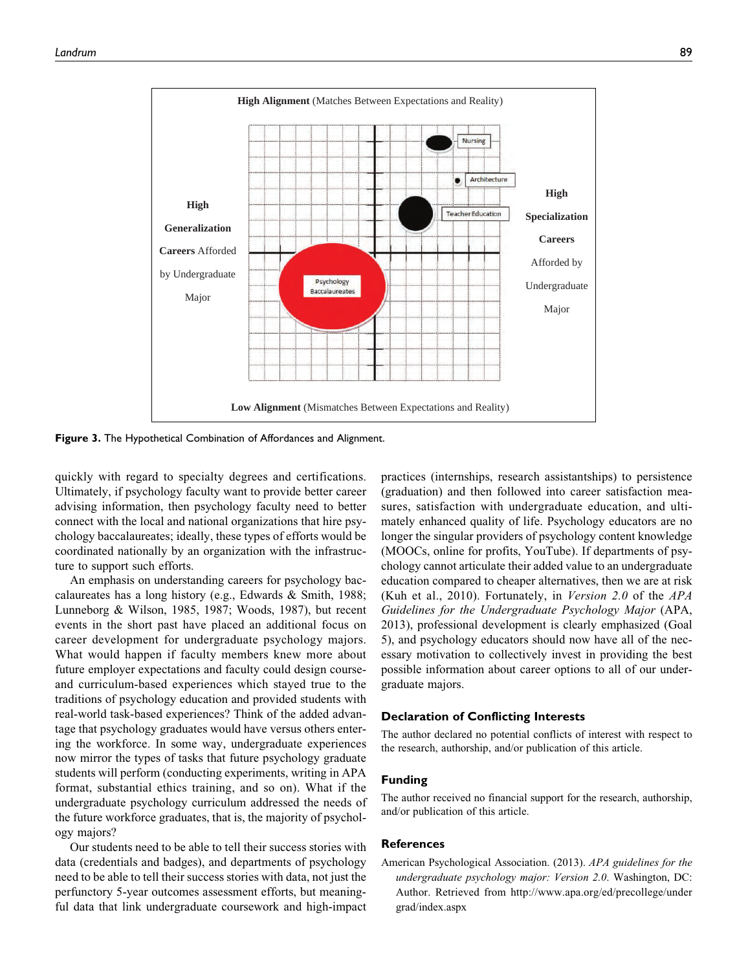

Figure 3. The Hypothetical Combination of Affordances and Alignment.

quickly with regard to specialty degrees and certifications. Ultimately, if psychology faculty want to provide better career advising information, then psychology faculty need to better connect with the local and national organizations that hire psychology baccalaureates; ideally, these types of efforts would be coordinated nationally by an organization with the infrastructure to support such efforts.

An emphasis on understanding careers for psychology baccalaureates has a long history (e.g., Edwards & Smith, 1988; Lunneborg & Wilson, 1985, 1987; Woods, 1987), but recent events in the short past have placed an additional focus on career development for undergraduate psychology majors. What would happen if faculty members knew more about future employer expectations and faculty could design courseand curriculum-based experiences which stayed true to the traditions of psychology education and provided students with real-world task-based experiences? Think of the added advantage that psychology graduates would have versus others entering the workforce. In some way, undergraduate experiences now mirror the types of tasks that future psychology graduate students will perform (conducting experiments, writing in APA format, substantial ethics training, and so on). What if the undergraduate psychology curriculum addressed the needs of the future workforce graduates, that is, the majority of psychology majors?

Our students need to be able to tell their success stories with data (credentials and badges), and departments of psychology need to be able to tell their success stories with data, not just the perfunctory 5-year outcomes assessment efforts, but meaningful data that link undergraduate coursework and high-impact practices (internships, research assistantships) to persistence (graduation) and then followed into career satisfaction measures, satisfaction with undergraduate education, and ultimately enhanced quality of life. Psychology educators are no longer the singular providers of psychology content knowledge (MOOCs, online for profits, YouTube). If departments of psychology cannot articulate their added value to an undergraduate education compared to cheaper alternatives, then we are at risk (Kuh et al., 2010). Fortunately, in Version 2.0 of the APA Guidelines for the Undergraduate Psychology Major (APA, 2013), professional development is clearly emphasized (Goal 5), and psychology educators should now have all of the necessary motivation to collectively invest in providing the best possible information about career options to all of our undergraduate majors.

#### Declaration of Conflicting Interests

The author declared no potential conflicts of interest with respect to the research, authorship, and/or publication of this article.

#### Funding

The author received no financial support for the research, authorship, and/or publication of this article.

## **References**

American Psychological Association. (2013). APA guidelines for the undergraduate psychology major: Version 2.0. Washington, DC: Author. Retrieved from [http://www.apa.org/ed/precollege/under](http://www.apa.org/ed/precollege/undergrad/index.aspx) [grad/index.aspx](http://www.apa.org/ed/precollege/undergrad/index.aspx)